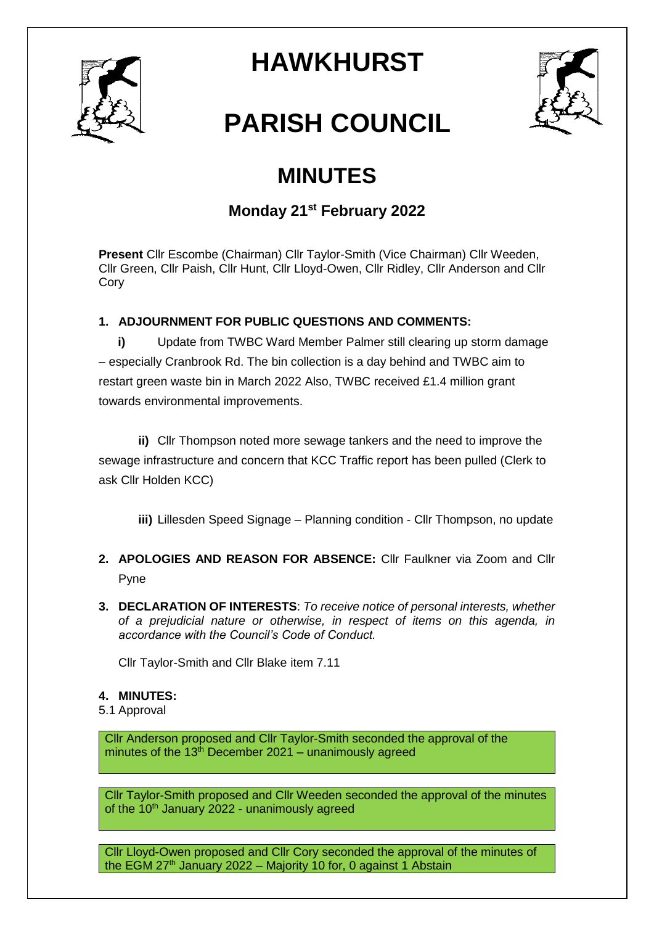

# **HAWKHURST**



# **PARISH COUNCIL**

# **MINUTES**

# **Monday 21st February 2022**

**Present** Cllr Escombe (Chairman) Cllr Taylor-Smith (Vice Chairman) Cllr Weeden, Cllr Green, Cllr Paish, Cllr Hunt, Cllr Lloyd-Owen, Cllr Ridley, Cllr Anderson and Cllr **Cory** 

# **1. ADJOURNMENT FOR PUBLIC QUESTIONS AND COMMENTS:**

**i)** Update from TWBC Ward Member Palmer still clearing up storm damage – especially Cranbrook Rd. The bin collection is a day behind and TWBC aim to restart green waste bin in March 2022 Also, TWBC received £1.4 million grant towards environmental improvements.

**ii)** Cllr Thompson noted more sewage tankers and the need to improve the sewage infrastructure and concern that KCC Traffic report has been pulled (Clerk to ask Cllr Holden KCC)

**iii)** Lillesden Speed Signage – Planning condition - Cllr Thompson, no update

- **2. APOLOGIES AND REASON FOR ABSENCE:** Cllr Faulkner via Zoom and Cllr Pyne
- **3. DECLARATION OF INTERESTS**: *To receive notice of personal interests, whether of a prejudicial nature or otherwise, in respect of items on this agenda, in accordance with the Council's Code of Conduct.*

Cllr Taylor-Smith and Cllr Blake item 7.11

### **4. MINUTES:**

5.1 Approval

Cllr Anderson proposed and Cllr Taylor-Smith seconded the approval of the minutes of the  $13<sup>th</sup>$  December 2021 – unanimously agreed

Cllr Taylor-Smith proposed and Cllr Weeden seconded the approval of the minutes of the  $10<sup>th</sup>$  January 2022 - unanimously agreed

Cllr Lloyd-Owen proposed and Cllr Cory seconded the approval of the minutes of the EGM  $27<sup>th</sup>$  January 2022 – Majority 10 for, 0 against 1 Abstain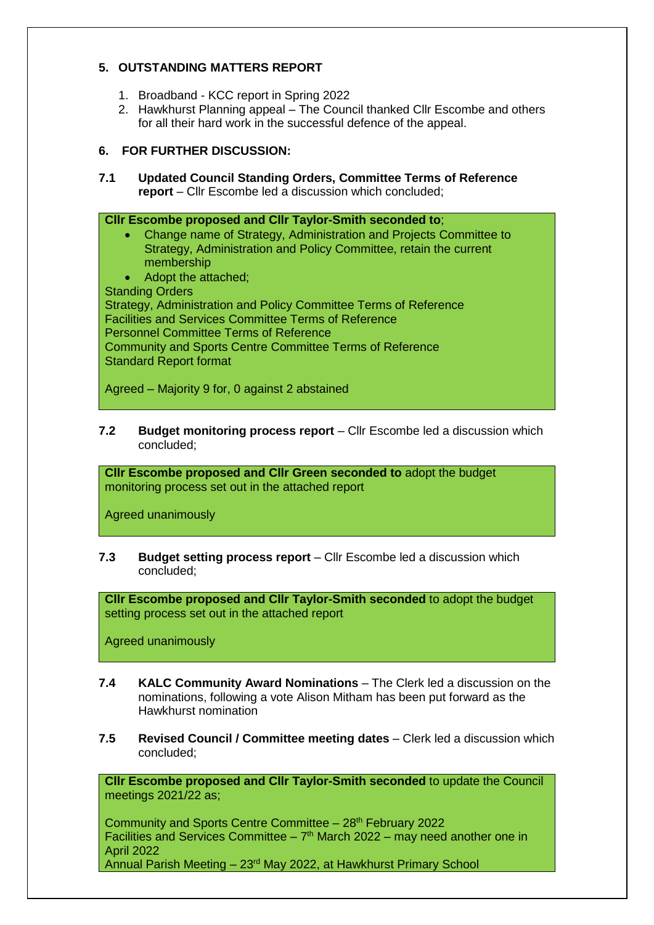### **5. OUTSTANDING MATTERS REPORT**

- 1. Broadband KCC report in Spring 2022
- 2. Hawkhurst Planning appeal The Council thanked Cllr Escombe and others for all their hard work in the successful defence of the appeal.

#### **6. FOR FURTHER DISCUSSION:**

**7.1 Updated Council Standing Orders, Committee Terms of Reference report** – Cllr Escombe led a discussion which concluded;

**Cllr Escombe proposed and Cllr Taylor-Smith seconded to**; Change name of Strategy, Administration and Projects Committee to Strategy, Administration and Policy Committee, retain the current membership • Adopt the attached: Standing Orders Strategy, Administration and Policy Committee Terms of Reference Facilities and Services Committee Terms of Reference Personnel Committee Terms of Reference Community and Sports Centre Committee Terms of Reference Standard Report format

Agreed – Majority 9 for, 0 against 2 abstained

**7.2 Budget monitoring process report** – Cllr Escombe led a discussion which concluded;

**Cllr Escombe proposed and Cllr Green seconded to** adopt the budget monitoring process set out in the attached report

Agreed unanimously

**7.3 Budget setting process report** – Cllr Escombe led a discussion which concluded;

**Cllr Escombe proposed and Cllr Taylor-Smith seconded** to adopt the budget setting process set out in the attached report

Agreed unanimously

- **7.4 KALC Community Award Nominations** The Clerk led a discussion on the nominations, following a vote Alison Mitham has been put forward as the Hawkhurst nomination
- **7.5 Revised Council / Committee meeting dates** Clerk led a discussion which concluded;

**Cllr Escombe proposed and Cllr Taylor-Smith seconded** to update the Council meetings 2021/22 as;

Community and Sports Centre Committee – 28<sup>th</sup> February 2022 Facilities and Services Committee  $-7<sup>th</sup>$  March 2022 – may need another one in April 2022 Annual Parish Meeting – 23rd May 2022, at Hawkhurst Primary School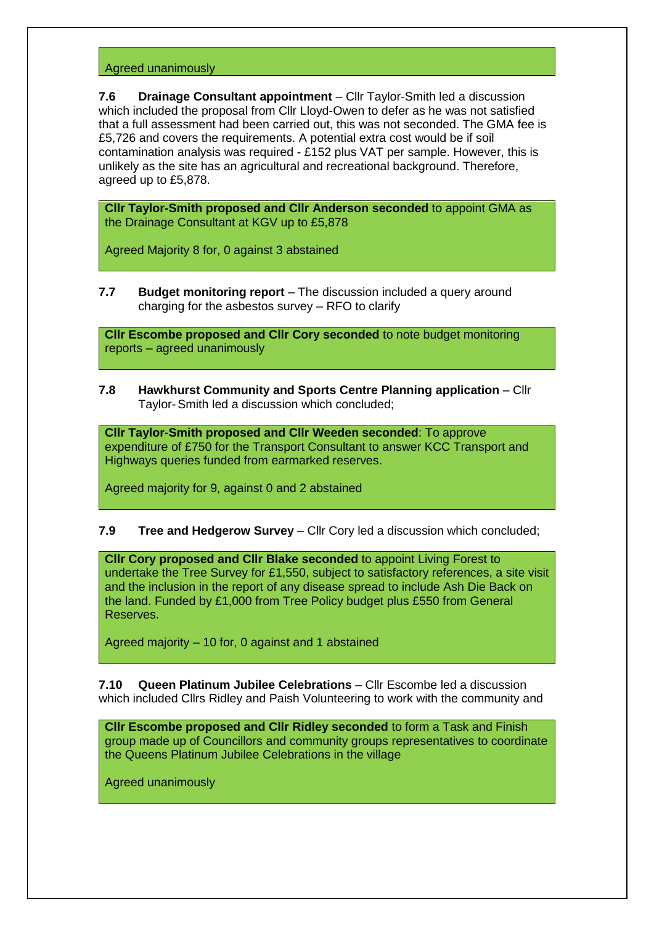#### Agreed unanimously

**7.6 Drainage Consultant appointment** – Cllr Taylor-Smith led a discussion which included the proposal from Cllr Lloyd-Owen to defer as he was not satisfied that a full assessment had been carried out, this was not seconded. The GMA fee is £5,726 and covers the requirements. A potential extra cost would be if soil contamination analysis was required - £152 plus VAT per sample. However, this is unlikely as the site has an agricultural and recreational background. Therefore, agreed up to £5,878.

**Cllr Taylor-Smith proposed and Cllr Anderson seconded** to appoint GMA as the Drainage Consultant at KGV up to £5,878

Agreed Majority 8 for, 0 against 3 abstained

**7.7 Budget monitoring report** – The discussion included a query around charging for the asbestos survey – RFO to clarify

**Cllr Escombe proposed and Cllr Cory seconded** to note budget monitoring reports – agreed unanimously

**7.8 Hawkhurst Community and Sports Centre Planning application** – Cllr Taylor-Smith led a discussion which concluded;

**Cllr Taylor-Smith proposed and Cllr Weeden seconded**: To approve expenditure of £750 for the Transport Consultant to answer KCC Transport and Highways queries funded from earmarked reserves.

Agreed majority for 9, against 0 and 2 abstained

#### **7.9 Tree and Hedgerow Survey** – Cllr Cory led a discussion which concluded;

**Cllr Cory proposed and Cllr Blake seconded** to appoint Living Forest to undertake the Tree Survey for £1,550, subject to satisfactory references, a site visit and the inclusion in the report of any disease spread to include Ash Die Back on the land. Funded by £1,000 from Tree Policy budget plus £550 from General Reserves.

Agreed majority – 10 for, 0 against and 1 abstained

**7.10 Queen Platinum Jubilee Celebrations** – Cllr Escombe led a discussion which included Cllrs Ridley and Paish Volunteering to work with the community and

**Cllr Escombe proposed and Cllr Ridley seconded** to form a Task and Finish group made up of Councillors and community groups representatives to coordinate the Queens Platinum Jubilee Celebrations in the village

Agreed unanimously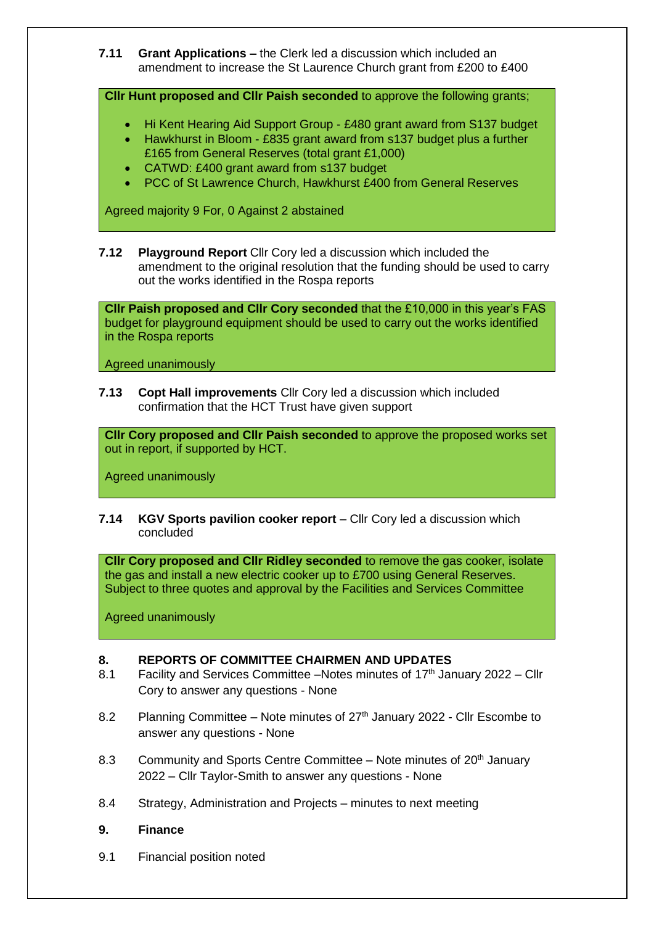**7.11 Grant Applications –** the Clerk led a discussion which included an amendment to increase the St Laurence Church grant from £200 to £400

**Cllr Hunt proposed and Cllr Paish seconded** to approve the following grants;

- Hi Kent Hearing Aid Support Group £480 grant award from S137 budget
- Hawkhurst in Bloom £835 grant award from s137 budget plus a further £165 from General Reserves (total grant £1,000)
- CATWD: £400 grant award from s137 budget
- PCC of St Lawrence Church, Hawkhurst £400 from General Reserves

Agreed majority 9 For, 0 Against 2 abstained

**7.12 Playground Report** Cllr Cory led a discussion which included the amendment to the original resolution that the funding should be used to carry out the works identified in the Rospa reports

**Cllr Paish proposed and Cllr Cory seconded** that the £10,000 in this year's FAS budget for playground equipment should be used to carry out the works identified in the Rospa reports

Agreed unanimously

**7.13 Copt Hall improvements** Cllr Cory led a discussion which included confirmation that the HCT Trust have given support

**Cllr Cory proposed and Cllr Paish seconded** to approve the proposed works set out in report, if supported by HCT.

Agreed unanimously

**7.14 KGV Sports pavilion cooker report** – Cllr Cory led a discussion which concluded

**Cllr Cory proposed and Cllr Ridley seconded** to remove the gas cooker, isolate the gas and install a new electric cooker up to £700 using General Reserves. Subject to three quotes and approval by the Facilities and Services Committee

Agreed unanimously

#### **8. REPORTS OF COMMITTEE CHAIRMEN AND UPDATES**

- 8.1 Facility and Services Committee –Notes minutes of 17<sup>th</sup> January 2022 Cllr Cory to answer any questions - None
- 8.2 Planning Committee Note minutes of  $27<sup>th</sup>$  January 2022 Cllr Escombe to answer any questions - None
- 8.3 Community and Sports Centre Committee Note minutes of 20<sup>th</sup> January 2022 – Cllr Taylor-Smith to answer any questions - None
- 8.4 Strategy, Administration and Projects minutes to next meeting
- **9. Finance**
- 9.1 Financial position noted